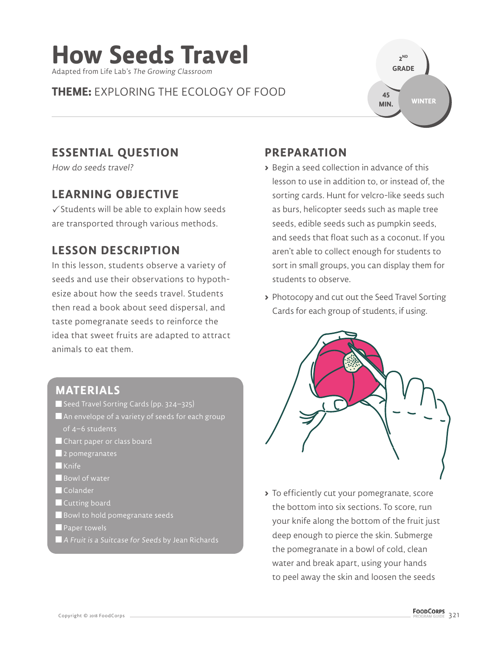# **How Seeds Travel**

Adapted from Life Lab's The Growing Classroom

## **THEME:** EXPLORING THE ECOLOGY OF FOOD

**2 ND GRADE WINTER 45 MIN.**

## **ESSENTIAL QUESTION**

How do seeds travel?

## **LEARNING OBJECTIVE**

 $\checkmark$  Students will be able to explain how seeds are transported through various methods.

## **LESSON DESCRIPTION**

In this lesson, students observe a variety of seeds and use their observations to hypothesize about how the seeds travel. Students then read a book about seed dispersal, and taste pomegranate seeds to reinforce the idea that sweet fruits are adapted to attract animals to eat them.

### **MATERIALS**

- Seed Travel Sorting Cards (pp. 324–325)
- $\blacksquare$  An envelope of a variety of seeds for each group of 4–6 students
- Chart paper or class board
- **2** pomegranates
- $\blacksquare$ Knife
- Bowl of water
- **Colander**
- **Cutting board**
- Bowl to hold pomegranate seeds
- **Paper towels**
- A Fruit is a Suitcase for Seeds by Jean Richards

## **PREPARATION**

- **>** Begin a seed collection in advance of this lesson to use in addition to, or instead of, the sorting cards. Hunt for velcro-like seeds such as burs, helicopter seeds such as maple tree seeds, edible seeds such as pumpkin seeds, and seeds that float such as a coconut. If you aren't able to collect enough for students to sort in small groups, you can display them for students to observe.
- **>** Photocopy and cut out the Seed Travel Sorting Cards for each group of students, if using.



**>** To efficiently cut your pomegranate, score the bottom into six sections. To score, run your knife along the bottom of the fruit just deep enough to pierce the skin. Submerge the pomegranate in a bowl of cold, clean water and break apart, using your hands to peel away the skin and loosen the seeds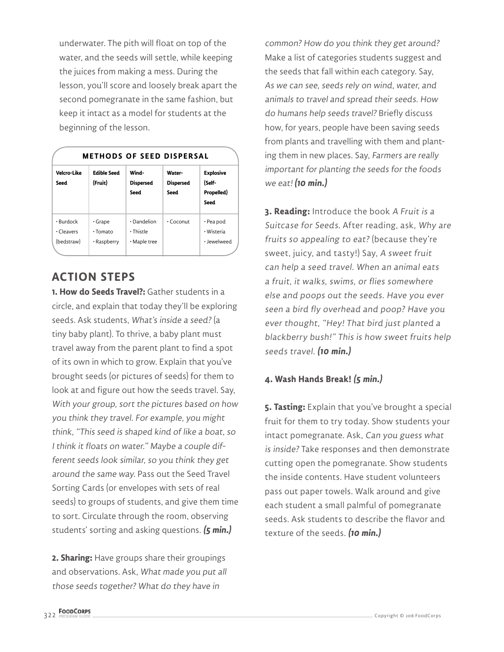underwater. The pith will float on top of the water, and the seeds will settle, while keeping the juices from making a mess. During the lesson, you'll score and loosely break apart the second pomegranate in the same fashion, but keep it intact as a model for students at the beginning of the lesson.

| <b>METHODS OF SEED DISPERSAL</b>            |                                                |                                                |                                           |                                                  |
|---------------------------------------------|------------------------------------------------|------------------------------------------------|-------------------------------------------|--------------------------------------------------|
| Velcro-Like<br>Seed                         | <b>Edible Seed</b><br>(Fruit)                  | Wind-<br><b>Dispersed</b><br><b>Seed</b>       | Water-<br><b>Dispersed</b><br><b>Seed</b> | <b>Explosive</b><br>(Self-<br>Propelled)<br>Seed |
| $\cdot$ Burdock<br>· Cleavers<br>(bedstraw) | $\cdot$ Grape<br>$\cdot$ Tomato<br>• Raspberry | $\cdot$ Dandelion<br>· Thistle<br>• Maple tree | $\cdot$ Coconut                           | • Pea pod<br>· Wisteria<br>· Jewelweed           |

## **ACTION STEPS**

**1. How do Seeds Travel?:** Gather students in a circle, and explain that today they'll be exploring seeds. Ask students, What's inside a seed? (a tiny baby plant). To thrive, a baby plant must travel away from the parent plant to find a spot of its own in which to grow. Explain that you've brought seeds (or pictures of seeds) for them to look at and figure out how the seeds travel. Say, With your group, sort the pictures based on how you think they travel. For example, you might think, "This seed is shaped kind of like a boat, so I think it floats on water." Maybe a couple different seeds look similar, so you think they get around the same way. Pass out the Seed Travel Sorting Cards (or envelopes with sets of real seeds) to groups of students, and give them time to sort. Circulate through the room, observing students' sorting and asking questions. **(5 min.)**

**2. Sharing:** Have groups share their groupings and observations. Ask, What made you put all those seeds together? What do they have in

common? How do you think they get around? Make a list of categories students suggest and the seeds that fall within each category. Say, As we can see, seeds rely on wind, water, and animals to travel and spread their seeds. How do humans help seeds travel? Briefly discuss how, for years, people have been saving seeds from plants and travelling with them and planting them in new places. Say, Farmers are really important for planting the seeds for the foods we eat! **(10 min.)**

**3. Reading:** Introduce the book A Fruit is a Suitcase for Seeds. After reading, ask, Why are fruits so appealing to eat? (because they're sweet, juicy, and tasty!) Say, A sweet fruit can help a seed travel. When an animal eats a fruit, it walks, swims, or flies somewhere else and poops out the seeds. Have you ever seen a bird fly overhead and poop? Have you ever thought, "Hey! That bird just planted a blackberry bush!" This is how sweet fruits help seeds travel. **(10 min.)**

#### **4. Wash Hands Break! (5 min.)**

**5. Tasting:** Explain that you've brought a special fruit for them to try today. Show students your intact pomegranate. Ask, Can you guess what is inside? Take responses and then demonstrate cutting open the pomegranate. Show students the inside contents. Have student volunteers pass out paper towels. Walk around and give each student a small palmful of pomegranate seeds. Ask students to describe the flavor and texture of the seeds. **(10 min.)**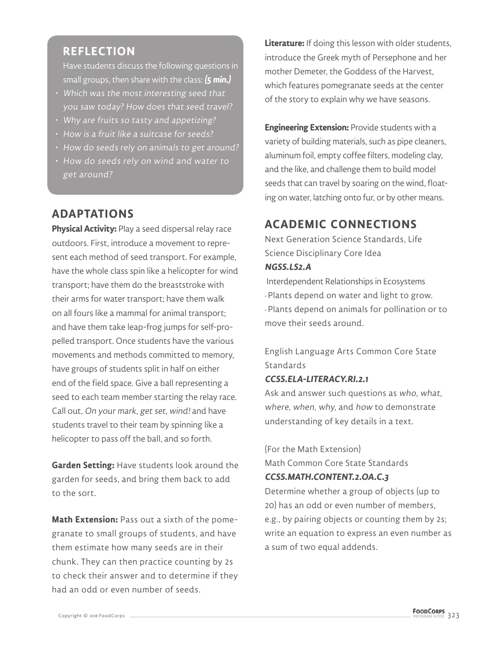### **REFLECTION**

Have students discuss the following questions in small groups, then share with the class: **(5 min.)**

- Which was the most interesting seed that you saw today? How does that seed travel?
- Why are fruits so tasty and appetizing?
- How is a fruit like a suitcase for seeds?
- How do seeds rely on animals to get around?
- How do seeds rely on wind and water to get around?

## **ADAPTATIONS**

**Physical Activity:** Play a seed dispersal relay race outdoors. First, introduce a movement to represent each method of seed transport. For example, have the whole class spin like a helicopter for wind transport; have them do the breaststroke with their arms for water transport; have them walk on all fours like a mammal for animal transport; and have them take leap-frog jumps for self-propelled transport. Once students have the various movements and methods committed to memory, have groups of students split in half on either end of the field space. Give a ball representing a seed to each team member starting the relay race. Call out, On your mark, get set, wind! and have students travel to their team by spinning like a helicopter to pass off the ball, and so forth.

**Garden Setting:** Have students look around the garden for seeds, and bring them back to add to the sort.

**Math Extension:** Pass out a sixth of the pomegranate to small groups of students, and have them estimate how many seeds are in their chunk. They can then practice counting by 2s to check their answer and to determine if they had an odd or even number of seeds.

**Literature:** If doing this lesson with older students, introduce the Greek myth of Persephone and her mother Demeter, the Goddess of the Harvest, which features pomegranate seeds at the center of the story to explain why we have seasons.

**Engineering Extension:** Provide students with a variety of building materials, such as pipe cleaners, aluminum foil, empty coffee filters, modeling clay, and the like, and challenge them to build model seeds that can travel by soaring on the wind, floating on water, latching onto fur, or by other means.

## **ACADEMIC CONNECTIONS**

Next Generation Science Standards, Life Science Disciplinary Core Idea **NGSS.LS2.A**

 Interdependent Relationships in Ecosystems • Plants depend on water and light to grow. • Plants depend on animals for pollination or to move their seeds around.

English Language Arts Common Core State **Standards** 

#### **CCSS.ELA-LITERACY.RI.2.1**

Ask and answer such questions as who, what, where, when, why, and how to demonstrate understanding of key details in a text.

(For the Math Extension) Math Common Core State Standards

#### **CCSS.MATH.CONTENT.2.OA.C.3**

Determine whether a group of objects (up to 20) has an odd or even number of members, e.g., by pairing objects or counting them by 2s; write an equation to express an even number as a sum of two equal addends.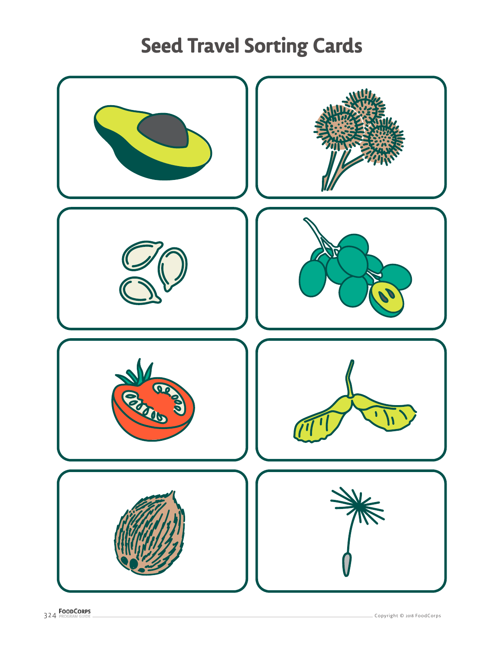## **Seed Travel Sorting Cards**